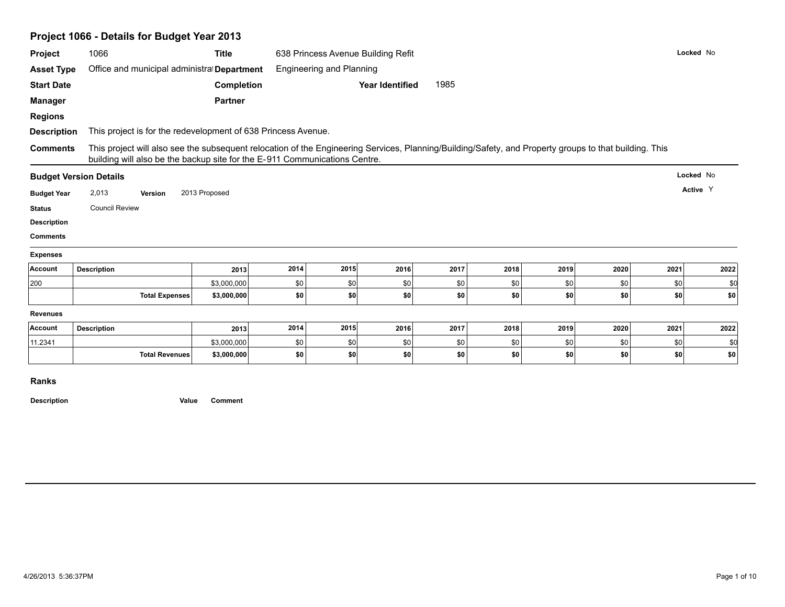|                                              | Project 1066 - Details for Budget Year 2013                                                                                                                                                                                          |                            |            |                                    |                        |            |            |            |            |            |            |
|----------------------------------------------|--------------------------------------------------------------------------------------------------------------------------------------------------------------------------------------------------------------------------------------|----------------------------|------------|------------------------------------|------------------------|------------|------------|------------|------------|------------|------------|
| Project                                      | 1066                                                                                                                                                                                                                                 | <b>Title</b>               |            | 638 Princess Avenue Building Refit |                        |            |            |            |            |            | Locked No  |
| <b>Asset Type</b>                            | Office and municipal administral Department                                                                                                                                                                                          |                            |            | <b>Engineering and Planning</b>    |                        |            |            |            |            |            |            |
| <b>Start Date</b>                            |                                                                                                                                                                                                                                      | Completion                 |            |                                    | <b>Year Identified</b> | 1985       |            |            |            |            |            |
| <b>Manager</b>                               |                                                                                                                                                                                                                                      | <b>Partner</b>             |            |                                    |                        |            |            |            |            |            |            |
| <b>Regions</b>                               |                                                                                                                                                                                                                                      |                            |            |                                    |                        |            |            |            |            |            |            |
| <b>Description</b>                           | This project is for the redevelopment of 638 Princess Avenue.                                                                                                                                                                        |                            |            |                                    |                        |            |            |            |            |            |            |
| <b>Comments</b>                              | This project will also see the subsequent relocation of the Engineering Services, Planning/Building/Safety, and Property groups to that building. This<br>building will also be the backup site for the E-911 Communications Centre. |                            |            |                                    |                        |            |            |            |            |            |            |
|                                              | <b>Budget Version Details</b>                                                                                                                                                                                                        |                            |            |                                    |                        |            |            |            |            |            | Locked No  |
| <b>Budget Year</b>                           | 2,013<br>Version                                                                                                                                                                                                                     | 2013 Proposed              |            |                                    |                        |            |            |            |            |            | Active Y   |
| <b>Status</b>                                | <b>Council Review</b>                                                                                                                                                                                                                |                            |            |                                    |                        |            |            |            |            |            |            |
| <b>Description</b>                           |                                                                                                                                                                                                                                      |                            |            |                                    |                        |            |            |            |            |            |            |
| <b>Comments</b>                              |                                                                                                                                                                                                                                      |                            |            |                                    |                        |            |            |            |            |            |            |
| <b>Expenses</b>                              |                                                                                                                                                                                                                                      |                            |            |                                    |                        |            |            |            |            |            |            |
| Account                                      | <b>Description</b>                                                                                                                                                                                                                   | 2013                       | 2014       | 2015                               | 2016                   | 2017       | 2018       | 2019       | 2020       | 2021       | 2022       |
|                                              |                                                                                                                                                                                                                                      |                            |            |                                    |                        |            |            |            |            |            | \$0        |
|                                              |                                                                                                                                                                                                                                      | \$3,000,000                | \$0        | \$0                                | \$0                    | \$0        | \$0        | \$0        | \$0        | \$0        |            |
|                                              | <b>Total Expenses</b>                                                                                                                                                                                                                | \$3,000,000                | \$0        | \$0                                | \$0                    | \$0        | \$0        | \$0        | \$0        | \$0        | \$0        |
|                                              |                                                                                                                                                                                                                                      |                            |            |                                    |                        |            |            |            |            |            |            |
|                                              | <b>Description</b>                                                                                                                                                                                                                   | 2013                       | 2014       | 2015                               | 2016                   | 2017       | 2018       | 2019       | 2020       | 2021       | 2022       |
| 200<br><b>Revenues</b><br>Account<br>11.2341 | <b>Total Revenues</b>                                                                                                                                                                                                                | \$3,000,000<br>\$3,000,000 | \$0<br>\$0 | \$0<br>\$0                         | \$0<br>\$0             | \$0<br>\$0 | \$0<br>\$0 | \$0<br>\$0 | \$0<br>\$0 | \$0<br>\$0 | \$0<br>\$0 |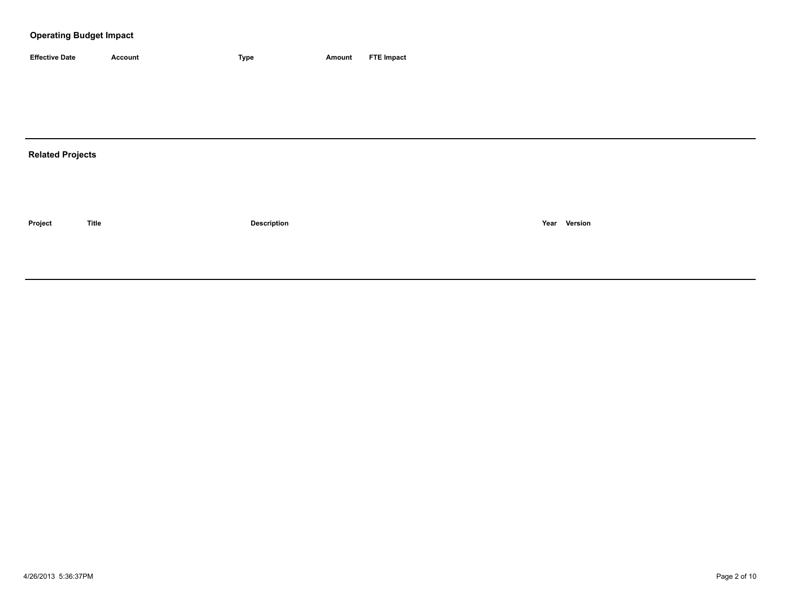### **Operating Budget Impact**

| <b>Effective Date</b> | Account | <b>Type</b> | Amount | <b>FTE Impact</b> |
|-----------------------|---------|-------------|--------|-------------------|

# **Related Projects**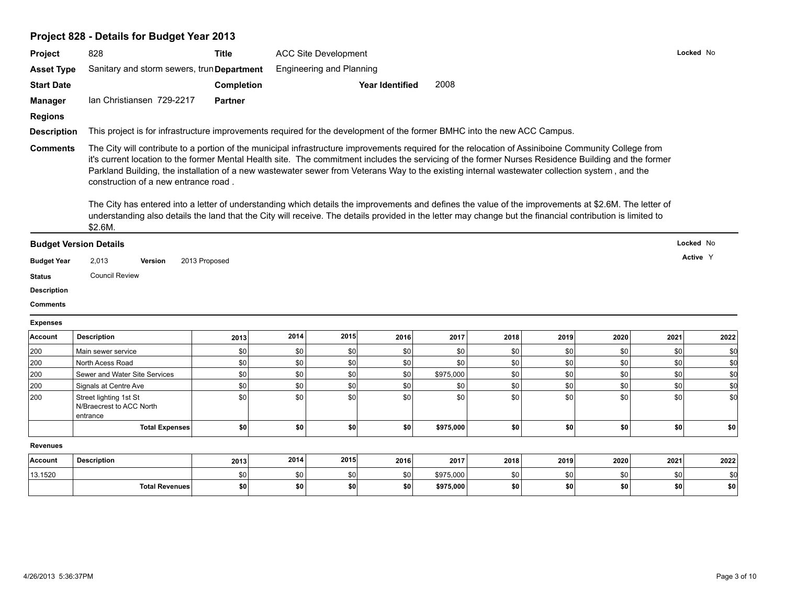# **Project 828 - Details for Budget Year 2013**

| Project                                                                                         | 828                                                                                                                                                                                                                                                                                                                                                                                                                                                                                                                                                                                                                                                                                                                                                                                                                           | <b>Title</b>   | <b>ACC Site Development</b> |                                 |                        |           |      |      |      | Locked No |          |
|-------------------------------------------------------------------------------------------------|-------------------------------------------------------------------------------------------------------------------------------------------------------------------------------------------------------------------------------------------------------------------------------------------------------------------------------------------------------------------------------------------------------------------------------------------------------------------------------------------------------------------------------------------------------------------------------------------------------------------------------------------------------------------------------------------------------------------------------------------------------------------------------------------------------------------------------|----------------|-----------------------------|---------------------------------|------------------------|-----------|------|------|------|-----------|----------|
| <b>Asset Type</b>                                                                               | Sanitary and storm sewers, trun Department                                                                                                                                                                                                                                                                                                                                                                                                                                                                                                                                                                                                                                                                                                                                                                                    |                |                             | <b>Engineering and Planning</b> |                        |           |      |      |      |           |          |
| <b>Start Date</b>                                                                               |                                                                                                                                                                                                                                                                                                                                                                                                                                                                                                                                                                                                                                                                                                                                                                                                                               | Completion     |                             |                                 | <b>Year Identified</b> | 2008      |      |      |      |           |          |
| Manager                                                                                         | Ian Christiansen 729-2217                                                                                                                                                                                                                                                                                                                                                                                                                                                                                                                                                                                                                                                                                                                                                                                                     | <b>Partner</b> |                             |                                 |                        |           |      |      |      |           |          |
| <b>Regions</b>                                                                                  |                                                                                                                                                                                                                                                                                                                                                                                                                                                                                                                                                                                                                                                                                                                                                                                                                               |                |                             |                                 |                        |           |      |      |      |           |          |
| <b>Description</b>                                                                              | This project is for infrastructure improvements required for the development of the former BMHC into the new ACC Campus.                                                                                                                                                                                                                                                                                                                                                                                                                                                                                                                                                                                                                                                                                                      |                |                             |                                 |                        |           |      |      |      |           |          |
| <b>Comments</b>                                                                                 | The City will contribute to a portion of the municipal infrastructure improvements required for the relocation of Assiniboine Community College from<br>it's current location to the former Mental Health site. The commitment includes the servicing of the former Nurses Residence Building and the former<br>Parkland Building, the installation of a new wastewater sewer from Veterans Way to the existing internal wastewater collection system, and the<br>construction of a new entrance road.<br>The City has entered into a letter of understanding which details the improvements and defines the value of the improvements at \$2.6M. The letter of<br>understanding also details the land that the City will receive. The details provided in the letter may change but the financial contribution is limited to |                |                             |                                 |                        |           |      |      |      |           |          |
|                                                                                                 | \$2.6M.                                                                                                                                                                                                                                                                                                                                                                                                                                                                                                                                                                                                                                                                                                                                                                                                                       |                |                             |                                 |                        |           |      |      |      |           |          |
|                                                                                                 | <b>Budget Version Details</b>                                                                                                                                                                                                                                                                                                                                                                                                                                                                                                                                                                                                                                                                                                                                                                                                 |                |                             |                                 |                        |           |      |      |      | Locked No |          |
|                                                                                                 |                                                                                                                                                                                                                                                                                                                                                                                                                                                                                                                                                                                                                                                                                                                                                                                                                               |                |                             |                                 |                        |           |      |      |      |           |          |
|                                                                                                 | 2,013<br>Version                                                                                                                                                                                                                                                                                                                                                                                                                                                                                                                                                                                                                                                                                                                                                                                                              | 2013 Proposed  |                             |                                 |                        |           |      |      |      |           | Active Y |
|                                                                                                 | <b>Council Review</b>                                                                                                                                                                                                                                                                                                                                                                                                                                                                                                                                                                                                                                                                                                                                                                                                         |                |                             |                                 |                        |           |      |      |      |           |          |
|                                                                                                 |                                                                                                                                                                                                                                                                                                                                                                                                                                                                                                                                                                                                                                                                                                                                                                                                                               |                |                             |                                 |                        |           |      |      |      |           |          |
|                                                                                                 |                                                                                                                                                                                                                                                                                                                                                                                                                                                                                                                                                                                                                                                                                                                                                                                                                               |                |                             |                                 |                        |           |      |      |      |           |          |
| <b>Budget Year</b><br><b>Status</b><br><b>Description</b><br><b>Comments</b><br><b>Expenses</b> |                                                                                                                                                                                                                                                                                                                                                                                                                                                                                                                                                                                                                                                                                                                                                                                                                               |                |                             |                                 |                        |           |      |      |      |           |          |
| Account                                                                                         | <b>Description</b>                                                                                                                                                                                                                                                                                                                                                                                                                                                                                                                                                                                                                                                                                                                                                                                                            | 2013           | 2014                        | 2015                            | 2016                   | 2017      | 2018 | 2019 | 2020 | 2021      | 2022     |
|                                                                                                 | Main sewer service                                                                                                                                                                                                                                                                                                                                                                                                                                                                                                                                                                                                                                                                                                                                                                                                            | \$0            | \$0                         | \$0                             | \$0                    | \$0       | \$0  | \$0  | \$0  | \$0       | \$0      |
| 200<br>200                                                                                      | North Acess Road                                                                                                                                                                                                                                                                                                                                                                                                                                                                                                                                                                                                                                                                                                                                                                                                              | \$0            | \$0                         | \$0                             | \$0                    | \$0       | \$0  | \$0  | \$0  | \$0       | \$d      |
| 200                                                                                             | Sewer and Water Site Services                                                                                                                                                                                                                                                                                                                                                                                                                                                                                                                                                                                                                                                                                                                                                                                                 | \$0            | \$0                         | $ $ so                          | \$0                    | \$975,000 | \$0  | \$0  | \$0  | \$0       | \$d      |
| 200                                                                                             | Signals at Centre Ave                                                                                                                                                                                                                                                                                                                                                                                                                                                                                                                                                                                                                                                                                                                                                                                                         | \$0            | \$0                         | $ $ so                          | \$0                    | \$0       | \$0  | \$0  | \$0  | \$0       | \$d      |
| 200                                                                                             | Street lighting 1st St<br>N/Braecrest to ACC North<br>entrance                                                                                                                                                                                                                                                                                                                                                                                                                                                                                                                                                                                                                                                                                                                                                                | \$0            | \$0                         | \$0                             | \$0                    | \$0       | \$0  | \$0  | \$0  | \$0       | \$d      |
|                                                                                                 | <b>Total Expenses</b>                                                                                                                                                                                                                                                                                                                                                                                                                                                                                                                                                                                                                                                                                                                                                                                                         | \$0            | \$0                         | \$0                             | \$0                    | \$975,000 | \$0  | \$0  | \$0  | \$0       | \$0      |
| <b>Revenues</b>                                                                                 |                                                                                                                                                                                                                                                                                                                                                                                                                                                                                                                                                                                                                                                                                                                                                                                                                               |                |                             |                                 |                        |           |      |      |      |           |          |
| Account                                                                                         | <b>Description</b>                                                                                                                                                                                                                                                                                                                                                                                                                                                                                                                                                                                                                                                                                                                                                                                                            | 2013           | 2014                        | 2015                            | 2016                   | 2017      | 2018 | 2019 | 2020 | 2021      | 2022     |
| 13.1520                                                                                         |                                                                                                                                                                                                                                                                                                                                                                                                                                                                                                                                                                                                                                                                                                                                                                                                                               | \$0            | \$0                         | \$0                             | \$0                    | \$975,000 | \$0  | \$0  | \$0  | \$0       | \$0      |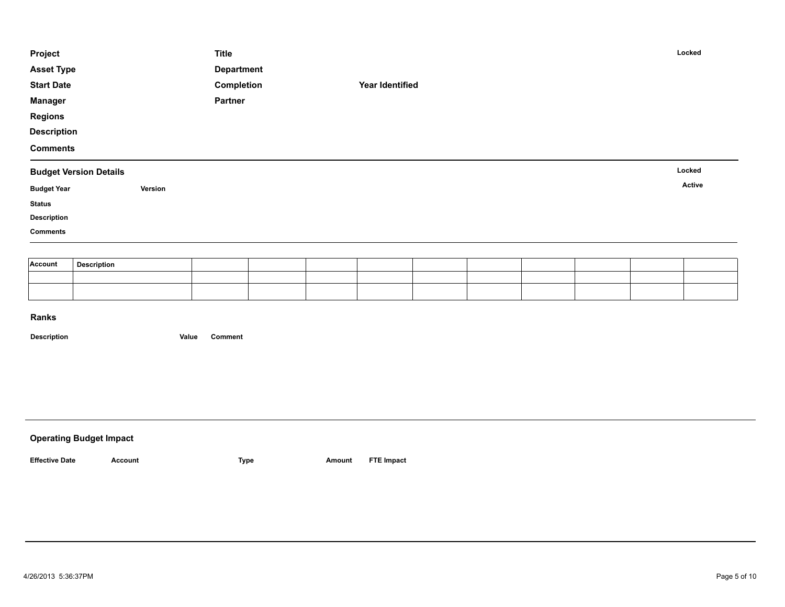| Project            |                               |         | <b>Title</b>      |  |                        |  |  | Locked |
|--------------------|-------------------------------|---------|-------------------|--|------------------------|--|--|--------|
| <b>Asset Type</b>  |                               |         | <b>Department</b> |  |                        |  |  |        |
| <b>Start Date</b>  |                               |         | Completion        |  | <b>Year Identified</b> |  |  |        |
| <b>Manager</b>     |                               |         | Partner           |  |                        |  |  |        |
| <b>Regions</b>     |                               |         |                   |  |                        |  |  |        |
| <b>Description</b> |                               |         |                   |  |                        |  |  |        |
| <b>Comments</b>    |                               |         |                   |  |                        |  |  |        |
|                    | <b>Budget Version Details</b> |         |                   |  |                        |  |  | Locked |
| <b>Budget Year</b> |                               | Version |                   |  |                        |  |  | Active |
| <b>Status</b>      |                               |         |                   |  |                        |  |  |        |
| <b>Description</b> |                               |         |                   |  |                        |  |  |        |
| <b>Comments</b>    |                               |         |                   |  |                        |  |  |        |
|                    |                               |         |                   |  |                        |  |  |        |
| Account            |                               |         |                   |  |                        |  |  |        |
|                    | <b>Description</b>            |         |                   |  |                        |  |  |        |

| <b>Operating Budget Impact</b> |              |      |        |                   |
|--------------------------------|--------------|------|--------|-------------------|
| <b>Effective Date</b>          | Account<br>. | Type | Amount | <b>FTE Impact</b> |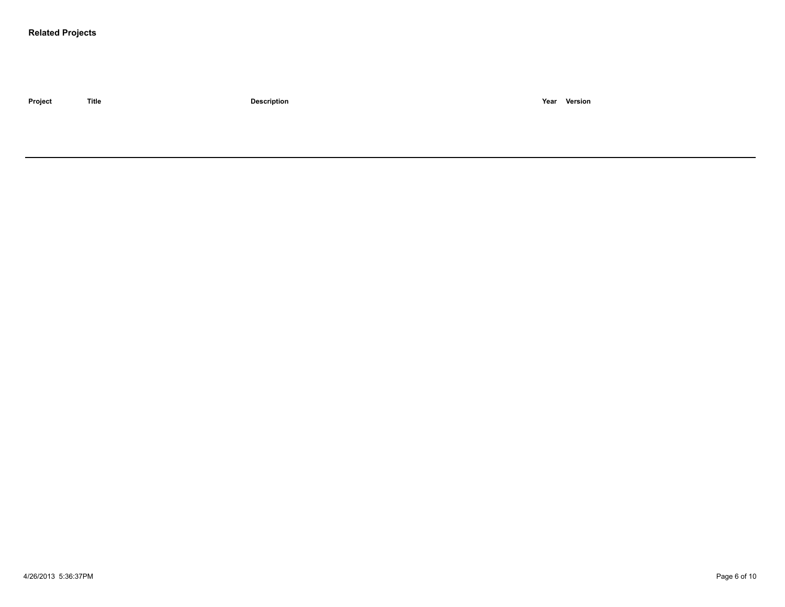### **Related Projects**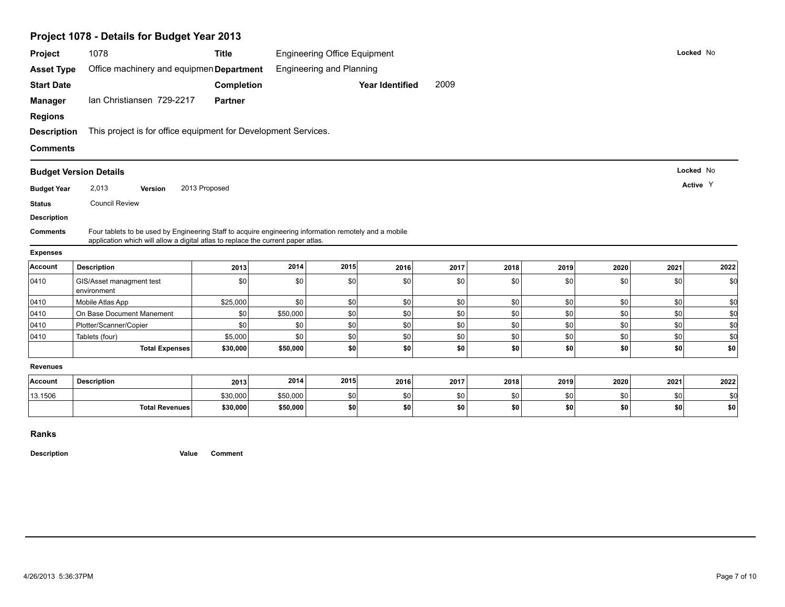|                    | Project 1078 - Details for Budget Year 2013                                                                                                                                               |                |                                     |                                 |                        |      |      |      |      |           |                                        |
|--------------------|-------------------------------------------------------------------------------------------------------------------------------------------------------------------------------------------|----------------|-------------------------------------|---------------------------------|------------------------|------|------|------|------|-----------|----------------------------------------|
| Project            | 1078                                                                                                                                                                                      | <b>Title</b>   | <b>Engineering Office Equipment</b> |                                 |                        |      |      |      |      | Locked No |                                        |
| <b>Asset Type</b>  | Office machinery and equipmen Department                                                                                                                                                  |                |                                     | <b>Engineering and Planning</b> |                        |      |      |      |      |           |                                        |
| <b>Start Date</b>  |                                                                                                                                                                                           | Completion     |                                     |                                 | <b>Year Identified</b> | 2009 |      |      |      |           |                                        |
| <b>Manager</b>     | Ian Christiansen 729-2217                                                                                                                                                                 | <b>Partner</b> |                                     |                                 |                        |      |      |      |      |           |                                        |
| <b>Regions</b>     |                                                                                                                                                                                           |                |                                     |                                 |                        |      |      |      |      |           |                                        |
| <b>Description</b> | This project is for office equipment for Development Services.                                                                                                                            |                |                                     |                                 |                        |      |      |      |      |           |                                        |
| <b>Comments</b>    |                                                                                                                                                                                           |                |                                     |                                 |                        |      |      |      |      |           |                                        |
|                    |                                                                                                                                                                                           |                |                                     |                                 |                        |      |      |      |      |           |                                        |
|                    | <b>Budget Version Details</b>                                                                                                                                                             |                |                                     |                                 |                        |      |      |      |      | Locked No |                                        |
| <b>Budget Year</b> | 2,013<br>Version                                                                                                                                                                          | 2013 Proposed  |                                     |                                 |                        |      |      |      |      | Active Y  |                                        |
| <b>Status</b>      | <b>Council Review</b>                                                                                                                                                                     |                |                                     |                                 |                        |      |      |      |      |           |                                        |
|                    |                                                                                                                                                                                           |                |                                     |                                 |                        |      |      |      |      |           |                                        |
| <b>Description</b> |                                                                                                                                                                                           |                |                                     |                                 |                        |      |      |      |      |           |                                        |
| <b>Comments</b>    | Four tablets to be used by Engineering Staff to acquire engineering information remotely and a mobile<br>application which will allow a digital atlas to replace the current paper atlas. |                |                                     |                                 |                        |      |      |      |      |           |                                        |
| <b>Expenses</b>    |                                                                                                                                                                                           |                |                                     |                                 |                        |      |      |      |      |           |                                        |
| Account            | <b>Description</b>                                                                                                                                                                        | 2013           | 2014                                | 2015                            | 2016                   | 2017 | 2018 | 2019 | 2020 | 2021      | 2022                                   |
| 0410               | GIS/Asset managment test<br>environment                                                                                                                                                   | \$0            | \$0                                 | \$0                             | \$0                    | \$0  | \$0  | \$0  | \$0  | \$0       |                                        |
| 0410               | Mobile Atlas App                                                                                                                                                                          | \$25,000       | \$0                                 | \$0                             | \$0                    | \$0  | \$0  | \$0  | \$0  | \$0       |                                        |
| 0410               | On Base Document Manement                                                                                                                                                                 | \$0            | \$50,000                            | \$0                             | \$0                    | \$0  | \$0  | \$0  | \$0  | \$0       |                                        |
| 0410               | Plotter/Scanner/Copier                                                                                                                                                                    | \$0            | \$0                                 | \$0                             | \$0                    | \$0  | \$0  | \$0  | \$0  | \$0       |                                        |
| 0410               | Tablets (four)                                                                                                                                                                            | \$5,000        | \$0                                 | \$0                             | \$0                    | \$0  | \$0  | \$0  | \$0  | \$0       |                                        |
|                    | <b>Total Expenses</b>                                                                                                                                                                     | \$30,000       | \$50,000                            | \$0                             | \$0                    | \$0  | \$0  | \$0  | \$0  | \$0       |                                        |
| <b>Revenues</b>    |                                                                                                                                                                                           |                |                                     |                                 |                        |      |      |      |      |           | \$d<br>\$0<br>\$0<br>\$d<br>\$0<br>\$0 |
| Account            | <b>Description</b>                                                                                                                                                                        | 2013           | 2014                                | 2015                            | 2016                   | 2017 | 2018 | 2019 | 2020 | 2021      | 2022                                   |
| 13.1506            |                                                                                                                                                                                           | \$30,000       | \$50,000                            | \$0                             | \$0                    | \$0  | \$0  | \$0  | \$0  | \$0       | \$0                                    |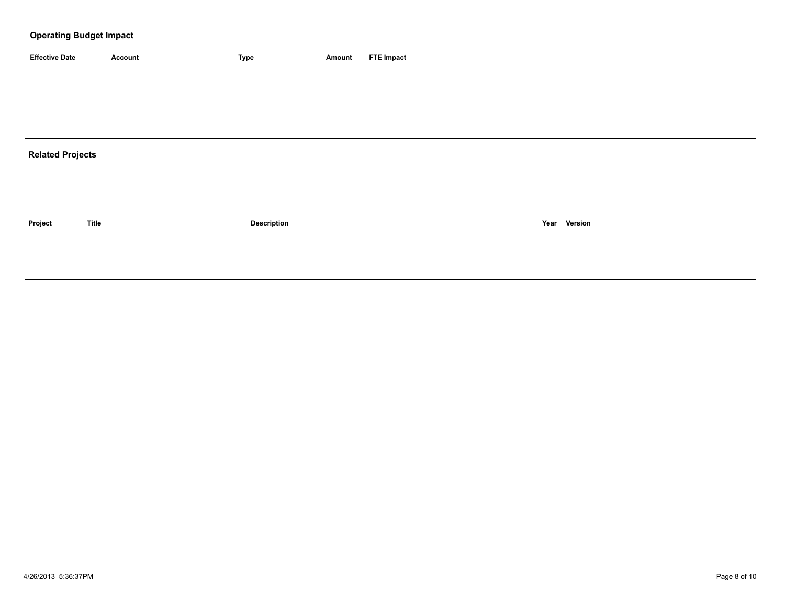### **Operating Budget Impact**

| <b>Effective Date</b> | Account | 'vpe | Amount | <b>FTE Impact</b> |
|-----------------------|---------|------|--------|-------------------|

# **Related Projects**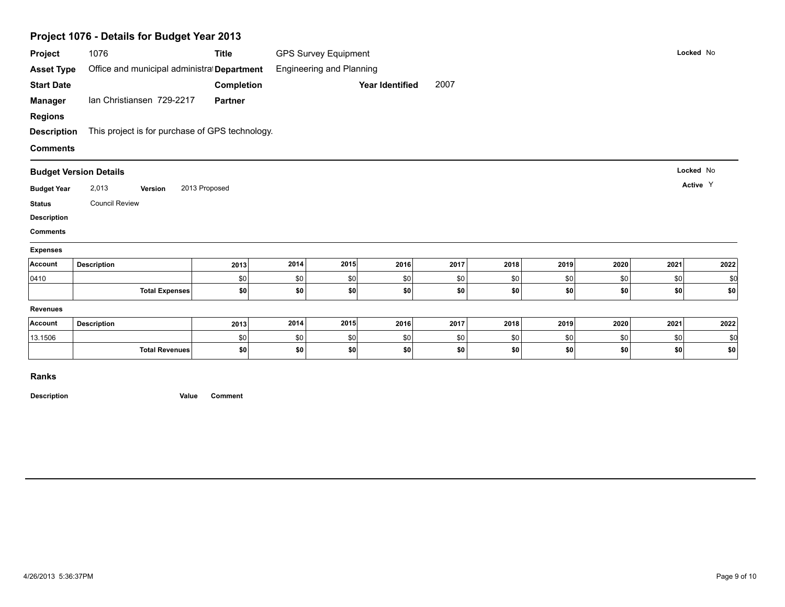|                               | Project 1076 - Details for Budget Year 2013     |                |            |                                 |                 |      |      |      |      |      |           |
|-------------------------------|-------------------------------------------------|----------------|------------|---------------------------------|-----------------|------|------|------|------|------|-----------|
| Project                       | 1076                                            | <b>Title</b>   |            | <b>GPS Survey Equipment</b>     |                 |      |      |      |      |      | Locked No |
| <b>Asset Type</b>             | Office and municipal administral Department     |                |            | <b>Engineering and Planning</b> |                 |      |      |      |      |      |           |
| <b>Start Date</b>             |                                                 | Completion     |            |                                 | Year Identified | 2007 |      |      |      |      |           |
| <b>Manager</b>                | Ian Christiansen 729-2217                       | <b>Partner</b> |            |                                 |                 |      |      |      |      |      |           |
| <b>Regions</b>                |                                                 |                |            |                                 |                 |      |      |      |      |      |           |
| <b>Description</b>            | This project is for purchase of GPS technology. |                |            |                                 |                 |      |      |      |      |      |           |
| <b>Comments</b>               |                                                 |                |            |                                 |                 |      |      |      |      |      |           |
| <b>Budget Version Details</b> |                                                 |                |            |                                 |                 |      |      |      |      |      | Locked No |
| <b>Budget Year</b>            | 2,013<br>Version                                | 2013 Proposed  |            |                                 |                 |      |      |      |      |      | Active Y  |
| <b>Status</b>                 | <b>Council Review</b>                           |                |            |                                 |                 |      |      |      |      |      |           |
| <b>Description</b>            |                                                 |                |            |                                 |                 |      |      |      |      |      |           |
| <b>Comments</b>               |                                                 |                |            |                                 |                 |      |      |      |      |      |           |
| <b>Expenses</b>               |                                                 |                |            |                                 |                 |      |      |      |      |      |           |
| Account                       | <b>Description</b>                              | 2013           | 2014       | 2015                            | 2016            | 2017 | 2018 | 2019 | 2020 | 2021 | 2022      |
| 0410                          |                                                 | \$0            | \$0        | \$0                             | \$0             | \$0  | \$0  | \$0  | \$0  | \$0  | \$0       |
|                               | <b>Total Expenses</b>                           | \$0            | \$0        | \$0                             | \$0             | \$0  | \$0  | \$0  | \$0  | \$0  | \$0       |
| <b>Revenues</b>               |                                                 |                |            |                                 |                 |      |      |      |      |      |           |
| Account                       | <b>Description</b>                              | 2013           | 2014       | 2015                            | 2016            | 2017 | 2018 | 2019 | 2020 | 2021 | 2022      |
|                               |                                                 |                |            | \$0                             | \$0             | \$0  | \$0  | \$0  | \$0  | \$0  | \$0       |
| 13.1506                       | <b>Total Revenues</b>                           | \$0<br>\$0     | \$0<br>\$0 | \$0                             |                 | \$0  | \$0  | \$0  |      | \$0  | \$0       |